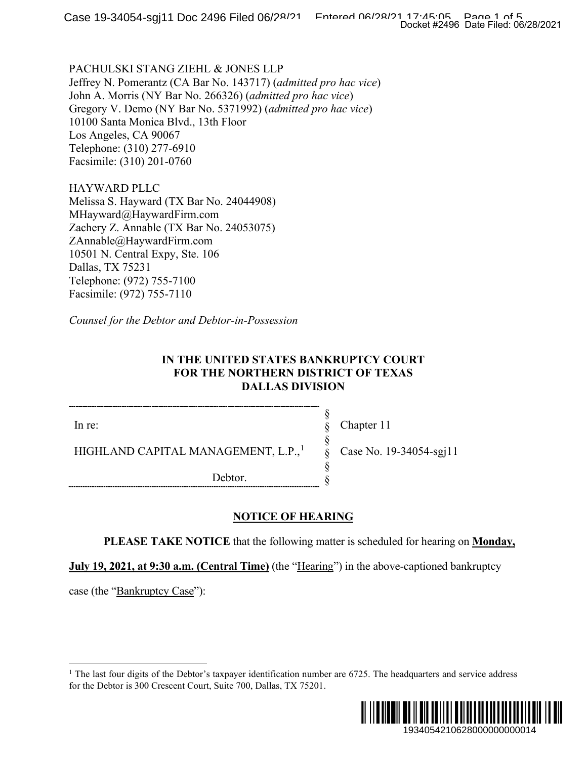PACHULSKI STANG ZIEHL & JONES LLP Jeffrey N. Pomerantz (CA Bar No. 143717) (*admitted pro hac vice*) John A. Morris (NY Bar No. 266326) (*admitted pro hac vice*) Gregory V. Demo (NY Bar No. 5371992) (*admitted pro hac vice*) 10100 Santa Monica Blvd., 13th Floor Los Angeles, CA 90067 Telephone: (310) 277-6910 Facsimile: (310) 201-0760

HAYWARD PLLC Melissa S. Hayward (TX Bar No. 24044908) MHayward@HaywardFirm.com Zachery Z. Annable (TX Bar No. 24053075) ZAnnable@HaywardFirm.com 10501 N. Central Expy, Ste. 106 Dallas, TX 75231 Telephone: (972) 755-7100 Facsimile: (972) 755-7110

*Counsel for the Debtor and Debtor-in-Possession*

### **IN THE UNITED STATES BANKRUPTCY COURT FOR THE NORTHERN DISTRICT OF TEXAS DALLAS DIVISION**

In re:

HIGHLAND CAPITAL MANAGEMENT, L.P.,<sup>1</sup>

Debtor.

Chapter 11

§ § § § § §

Case No. 19-34054-sgj11

**NOTICE OF HEARING**

**PLEASE TAKE NOTICE** that the following matter is scheduled for hearing on **Monday,** 

**July 19, 2021, at 9:30 a.m. (Central Time)** (the "Hearing") in the above-captioned bankruptcy

case (the "Bankruptcy Case"):

<sup>&</sup>lt;sup>1</sup> The last four digits of the Debtor's taxpayer identification number are  $6725$ . The headquarters and service address for the Debtor is 300 Crescent Court, Suite 700, Dallas, TX 75201.

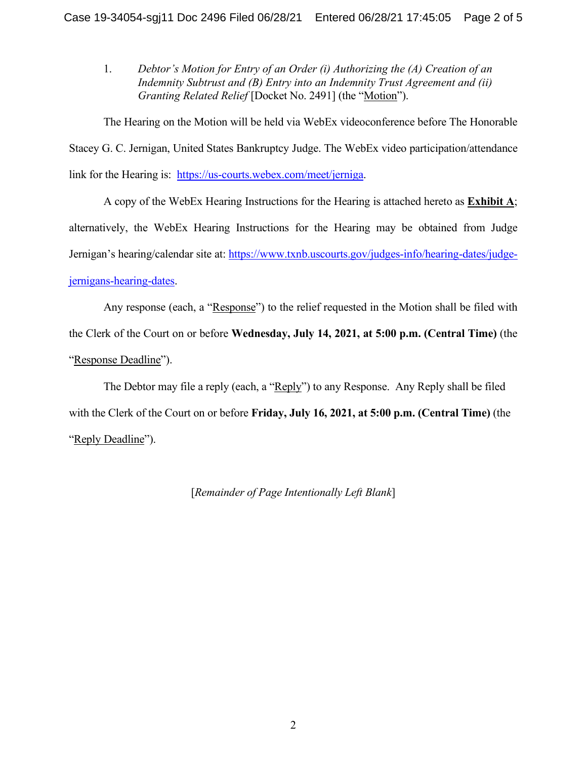1. *Debtor's Motion for Entry of an Order (i) Authorizing the (A) Creation of an Indemnity Subtrust and (B) Entry into an Indemnity Trust Agreement and (ii) Granting Related Relief* [Docket No. 2491] (the "Motion").

The Hearing on the Motion will be held via WebEx videoconference before The Honorable Stacey G. C. Jernigan, United States Bankruptcy Judge. The WebEx video participation/attendance link for the Hearing is: [https://us-courts.webex.com/meet/jerniga.](https://us-courts.webex.com/meet/jerniga)

A copy of the WebEx Hearing Instructions for the Hearing is attached hereto as **Exhibit A**; alternatively, the WebEx Hearing Instructions for the Hearing may be obtained from Judge Jernigan's hearing/calendar site at: [https://www.txnb.uscourts.gov/judges-info/hearing-dates/judge](https://www.txnb.uscourts.gov/judges-info/hearing-dates/judge-jernigans-hearing-dates)[jernigans-hearing-dates.](https://www.txnb.uscourts.gov/judges-info/hearing-dates/judge-jernigans-hearing-dates)

Any response (each, a "Response") to the relief requested in the Motion shall be filed with the Clerk of the Court on or before **Wednesday, July 14, 2021, at 5:00 p.m. (Central Time)** (the "Response Deadline").

The Debtor may file a reply (each, a "Reply") to any Response. Any Reply shall be filed with the Clerk of the Court on or before **Friday, July 16, 2021, at 5:00 p.m. (Central Time)** (the "Reply Deadline").

[*Remainder of Page Intentionally Left Blank*]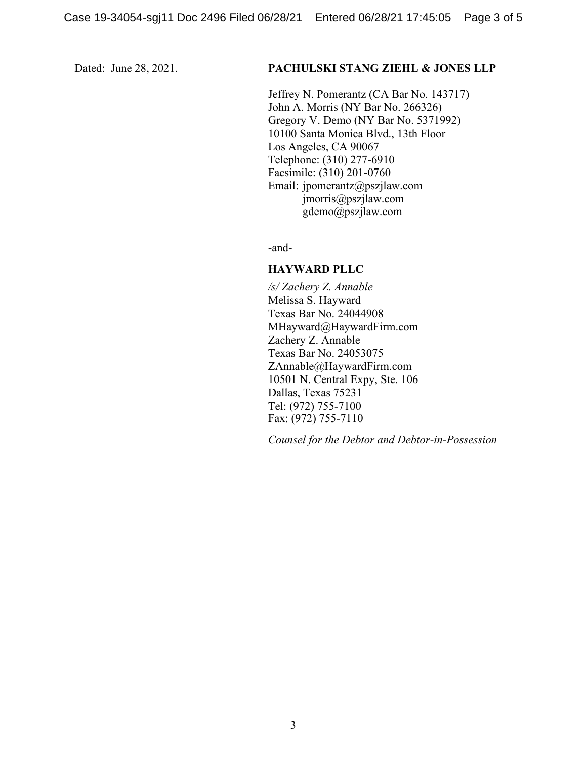#### Dated: June 28, 2021. **PACHULSKI STANG ZIEHL & JONES LLP**

Jeffrey N. Pomerantz (CA Bar No. 143717) John A. Morris (NY Bar No. 266326) Gregory V. Demo (NY Bar No. 5371992) 10100 Santa Monica Blvd., 13th Floor Los Angeles, CA 90067 Telephone: (310) 277-6910 Facsimile: (310) 201-0760 Email: jpomerantz@pszjlaw.com jmorris@pszjlaw.com gdemo@pszjlaw.com

-and-

#### **HAYWARD PLLC**

*/s/ Zachery Z. Annable* Melissa S. Hayward Texas Bar No. 24044908 MHayward@HaywardFirm.com Zachery Z. Annable Texas Bar No. 24053075 ZAnnable@HaywardFirm.com 10501 N. Central Expy, Ste. 106 Dallas, Texas 75231 Tel: (972) 755-7100 Fax: (972) 755-7110

*Counsel for the Debtor and Debtor-in-Possession*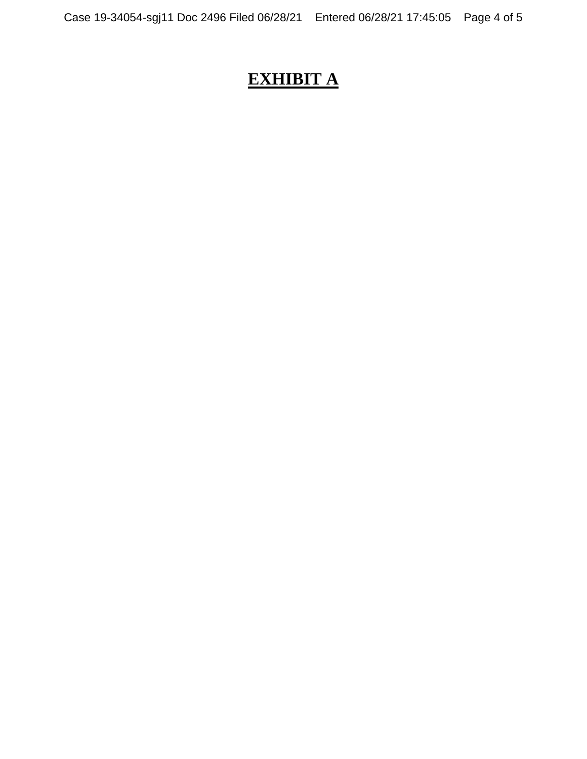# **EXHIBIT A**